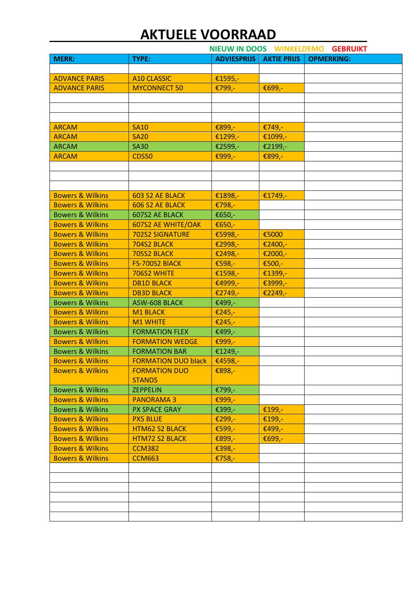|                             | NIEUW IN DOOS WINKELDEMO<br><b>GEBRUIKT</b> |                    |                    |                   |
|-----------------------------|---------------------------------------------|--------------------|--------------------|-------------------|
| <b>MERK:</b>                | TYPE:                                       | <b>ADVIESPRIJS</b> | <b>AKTIE PRIJS</b> | <b>OPMERKING:</b> |
|                             |                                             |                    |                    |                   |
| <b>ADVANCE PARIS</b>        | <b>A10 CLASSIC</b>                          | €1595,-            |                    |                   |
| <b>ADVANCE PARIS</b>        | <b>MYCONNECT 50</b>                         | €799,-             | €699,-             |                   |
|                             |                                             |                    |                    |                   |
|                             |                                             |                    |                    |                   |
|                             |                                             |                    |                    |                   |
| <b>ARCAM</b>                | <b>SA10</b>                                 | €899,-             | €749,-             |                   |
| <b>ARCAM</b>                | <b>SA20</b>                                 | €1299,-            | €1099,-            |                   |
| <b>ARCAM</b>                | <b>SA30</b>                                 | €2599,-            | €2199,-            |                   |
| <b>ARCAM</b>                | <b>CDS50</b>                                | €999,-             | €899,-             |                   |
|                             |                                             |                    |                    |                   |
|                             |                                             |                    |                    |                   |
|                             |                                             |                    |                    |                   |
| <b>Bowers &amp; Wilkins</b> | 603 S2 AE BLACK                             | €1898,-            | €1749,-            |                   |
| <b>Bowers &amp; Wilkins</b> | 606 S2 AE BLACK                             | €798,-             |                    |                   |
| <b>Bowers &amp; Wilkins</b> | 607S2 AE BLACK                              | €650,-             |                    |                   |
| <b>Bowers &amp; Wilkins</b> | 607S2 AE WHITE/OAK                          | €650,-             |                    |                   |
| <b>Bowers &amp; Wilkins</b> | <b>702S2 SIGNATURE</b>                      | €5998,-            | €5000              |                   |
| <b>Bowers &amp; Wilkins</b> | 704S2 BLACK                                 | €2998,-            | €2400,-            |                   |
| <b>Bowers &amp; Wilkins</b> | 705S2 BLACK                                 | €2498,-            | €2000,-            |                   |
| <b>Bowers &amp; Wilkins</b> | FS-700S2 BIACK                              | €598,-             | €500,-             |                   |
| <b>Bowers &amp; Wilkins</b> | 706S2 WHITE                                 | €1598,-            | €1399,-            |                   |
| <b>Bowers &amp; Wilkins</b> | <b>DB1D BLACK</b>                           | €4999,-            | €3999,-            |                   |
| <b>Bowers &amp; Wilkins</b> | <b>DB3D BLACK</b>                           | €2749,-            | €2249,-            |                   |
| <b>Bowers &amp; Wilkins</b> | <b>ASW-608 BLACK</b>                        | €499,-             |                    |                   |
| <b>Bowers &amp; Wilkins</b> | M1 BLACK                                    | €245,-             |                    |                   |
| <b>Bowers &amp; Wilkins</b> | <b>M1 WHITE</b>                             | €245,-             |                    |                   |
| <b>Bowers &amp; Wilkins</b> | <b>FORMATION FLEX</b>                       | €499,-             |                    |                   |
| <b>Bowers &amp; Wilkins</b> | <b>FORMATION WEDGE</b>                      | €999,-             |                    |                   |
| <b>Bowers &amp; Wilkins</b> | <b>FORMATION BAR</b>                        | €1249,-            |                    |                   |
| <b>Bowers &amp; Wilkins</b> | <b>FORMATION DUO black</b>                  | €4598,-            |                    |                   |
| <b>Bowers &amp; Wilkins</b> | <b>FORMATION DUO</b><br><b>STANDS</b>       | €898,-             |                    |                   |
| <b>Bowers &amp; Wilkins</b> | <b>ZEPPELIN</b>                             | €799,-             |                    |                   |
| <b>Bowers &amp; Wilkins</b> | <b>PANORAMA3</b>                            | €999,-             |                    |                   |
| <b>Bowers &amp; Wilkins</b> | PX SPACE GRAY                               | €399,-             | €199,-             |                   |
| <b>Bowers &amp; Wilkins</b> | <b>PX5 BLUE</b>                             | €299,-             | €199,-             |                   |
| <b>Bowers &amp; Wilkins</b> | <b>HTM62 S2 BLACK</b>                       | €599,-             | €499,-             |                   |
| <b>Bowers &amp; Wilkins</b> | <b>HTM72 S2 BLACK</b>                       | €899,-             | €699,-             |                   |
| <b>Bowers &amp; Wilkins</b> | <b>CCM382</b>                               | €398,-             |                    |                   |
| <b>Bowers &amp; Wilkins</b> | <b>CCM663</b>                               | €758,-             |                    |                   |
|                             |                                             |                    |                    |                   |
|                             |                                             |                    |                    |                   |
|                             |                                             |                    |                    |                   |
|                             |                                             |                    |                    |                   |
|                             |                                             |                    |                    |                   |
|                             |                                             |                    |                    |                   |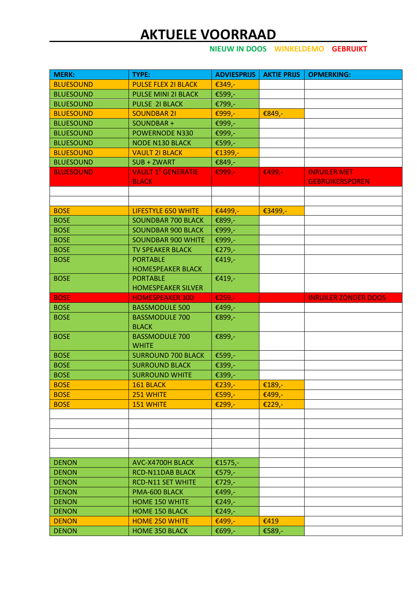**NIEUW IN DOOS WINKELDEMO GEBRUIKT**

| <b>MERK:</b>     | TYPE:                                               | <b>ADVIESPRIJS</b> | <b>AKTIE PRIJS</b> | <b>OPMERKING:</b>           |
|------------------|-----------------------------------------------------|--------------------|--------------------|-----------------------------|
| <b>BLUESOUND</b> | <b>PULSE FLEX 21 BLACK</b>                          | €349,-             |                    |                             |
| <b>BLUESOUND</b> | PULSE MINI 21 BLACK                                 | €599,-             |                    |                             |
| <b>BLUESOUND</b> | PULSE 21 BLACK                                      | €799,-             |                    |                             |
| <b>BLUESOUND</b> | <b>SOUNDBAR 21</b>                                  | €999,-             | €849,-             |                             |
| <b>BLUESOUND</b> | SOUNDBAR +                                          | €999,-             |                    |                             |
| <b>BLUESOUND</b> | <b>POWERNODE N330</b>                               | €999,-             |                    |                             |
| <b>BLUESOUND</b> |                                                     |                    |                    |                             |
|                  | <b>NODE N130 BLACK</b>                              | €599,-             |                    |                             |
| <b>BLUESOUND</b> | <b>VAULT 21 BLACK</b>                               | €1399,-            |                    |                             |
| <b>BLUESOUND</b> | SUB + ZWART<br><b>VAULT 1<sup>E</sup> GENERATIE</b> | €849,-             |                    | <b>INRUILER MET</b>         |
| <b>BLUESOUND</b> |                                                     | €999,-             | €499,-             |                             |
|                  | <b>BLACK</b>                                        |                    |                    | <b>GEBRUIKERSPOREN</b>      |
|                  |                                                     |                    |                    |                             |
|                  |                                                     |                    |                    |                             |
| <b>BOSE</b>      | <b>LIFESTYLE 650 WHITE</b>                          | €4499,-            | €3499,-            |                             |
| <b>BOSE</b>      | <b>SOUNDBAR 700 BLACK</b>                           | €899,-             |                    |                             |
| <b>BOSE</b>      | <b>SOUNDBAR 900 BLACK</b>                           | €999,-             |                    |                             |
| <b>BOSE</b>      | <b>SOUNDBAR 900 WHITE</b>                           | €999,-             |                    |                             |
| <b>BOSE</b>      | <b>TV SPEAKER BLACK</b>                             | €279,-             |                    |                             |
| <b>BOSE</b>      | <b>PORTABLE</b>                                     | €419,-             |                    |                             |
|                  | <b>HOMESPEAKER BLACK</b>                            |                    |                    |                             |
| <b>BOSE</b>      | <b>PORTABLE</b>                                     | €419,-             |                    |                             |
|                  | <b>HOMESPEAKER SILVER</b>                           |                    |                    |                             |
| <b>BOSE</b>      | <b>HOMESPEAKER 300</b>                              | €259,-             |                    | <b>INRUILER ZONDER DOOS</b> |
| <b>BOSE</b>      | <b>BASSMODULE 500</b>                               | €499,-             |                    |                             |
| <b>BOSE</b>      | <b>BASSMODULE 700</b>                               | €899,-             |                    |                             |
|                  | <b>BLACK</b>                                        |                    |                    |                             |
| <b>BOSE</b>      | <b>BASSMODULE 700</b>                               | €899,-             |                    |                             |
|                  | <b>WHITE</b>                                        |                    |                    |                             |
| <b>BOSE</b>      | <b>SURROUND 700 BLACK</b>                           | €599,-             |                    |                             |
| <b>BOSE</b>      | <b>SURROUND BLACK</b>                               | €399,-             |                    |                             |
| <b>BOSE</b>      | <b>SURROUND WHITE</b>                               | €399,-             |                    |                             |
| <b>BOSE</b>      | 161 BLACK                                           | €239,-             | €189,-             |                             |
| <b>BOSE</b>      | 251 WHITE                                           | €599,-             | €499,-             |                             |
| <b>BOSE</b>      | <b>151 WHITE</b>                                    | €299,-             | €229,-             |                             |
|                  |                                                     |                    |                    |                             |
|                  |                                                     |                    |                    |                             |
|                  |                                                     |                    |                    |                             |
|                  |                                                     |                    |                    |                             |
|                  |                                                     |                    |                    |                             |
| <b>DENON</b>     | AVC-X4700H BLACK                                    | €1575,-            |                    |                             |
| <b>DENON</b>     | <b>RCD-N11DAB BLACK</b>                             | €579,-             |                    |                             |
| <b>DENON</b>     | <b>RCD-N11 SET WHITE</b>                            | €729,-             |                    |                             |
| <b>DENON</b>     | PMA-600 BLACK                                       | €499,-             |                    |                             |
| <b>DENON</b>     | <b>HOME 150 WHITE</b>                               | €249,-             |                    |                             |
| <b>DENON</b>     | <b>HOME 150 BLACK</b>                               | €249,-             |                    |                             |
| <b>DENON</b>     | <b>HOME 250 WHITE</b>                               | €499,-             | €419               |                             |
| <b>DENON</b>     | <b>HOME 350 BLACK</b>                               | €699,-             | €589,-             |                             |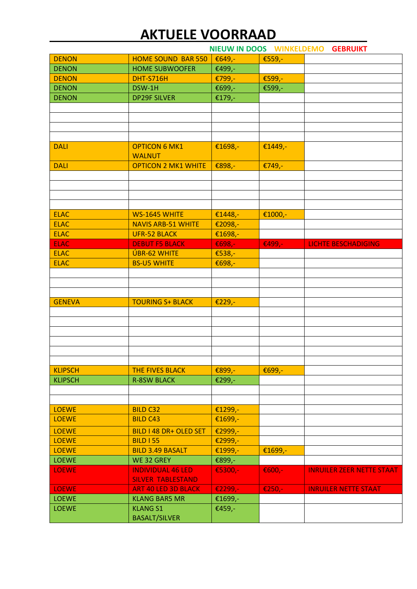|                |                            | NIEUW IN DOOS WINKELDEMO |           | <b>GEBRUIKT</b>                  |
|----------------|----------------------------|--------------------------|-----------|----------------------------------|
| <b>DENON</b>   | <b>HOME SOUND BAR 550</b>  | €649,-                   | €559,-    |                                  |
| <b>DENON</b>   | <b>HOME SUBWOOFER</b>      | €499,-                   |           |                                  |
| <b>DENON</b>   | <b>DHT-S716H</b>           | €799,-                   | €599,-    |                                  |
| <b>DENON</b>   | DSW-1H                     | €699,-                   | €599,-    |                                  |
| <b>DENON</b>   | <b>DP29F SILVER</b>        | €179,-                   |           |                                  |
|                |                            |                          |           |                                  |
|                |                            |                          |           |                                  |
|                |                            |                          |           |                                  |
|                |                            |                          |           |                                  |
| <b>DALI</b>    | <b>OPTICON 6 MK1</b>       | €1698,-                  | €1449,-   |                                  |
|                | <b>WALNUT</b>              |                          |           |                                  |
| <b>DALI</b>    | <b>OPTICON 2 MK1 WHITE</b> | €898,-                   | €749,-    |                                  |
|                |                            |                          |           |                                  |
|                |                            |                          |           |                                  |
|                |                            |                          |           |                                  |
|                |                            |                          |           |                                  |
| <b>ELAC</b>    | WS-1645 WHITE              | €1448,-                  | €1000,-   |                                  |
| <b>ELAC</b>    | <b>NAVIS ARB-51 WHITE</b>  | €2098,-                  |           |                                  |
| <b>ELAC</b>    | <b>UFR-52 BLACK</b>        | €1698,-                  |           |                                  |
| <b>ELAC</b>    | <b>DEBUT F5 BLACK</b>      | €698,-                   | €499,-    | <b>LICHTE BESCHADIGING</b>       |
| <b>ELAC</b>    | <b>ÚBR-62 WHITE</b>        | €538,-                   |           |                                  |
| <b>ELAC</b>    | <b>BS-U5 WHITE</b>         | €698,-                   |           |                                  |
|                |                            |                          |           |                                  |
|                |                            |                          |           |                                  |
|                |                            |                          |           |                                  |
| <b>GENEVA</b>  | <b>TOURING S+ BLACK</b>    | €229,-                   |           |                                  |
|                |                            |                          |           |                                  |
|                |                            |                          |           |                                  |
|                |                            |                          |           |                                  |
|                |                            |                          |           |                                  |
|                |                            |                          |           |                                  |
|                |                            |                          |           |                                  |
| <b>KLIPSCH</b> | <b>THE FIVES BLACK</b>     | €899,-                   | €699,-    |                                  |
| <b>KLIPSCH</b> | <b>R-8SW BLACK</b>         | €299,-                   |           |                                  |
|                |                            |                          |           |                                  |
|                |                            |                          |           |                                  |
| <b>LOEWE</b>   | <b>BILD C32</b>            | €1299,-                  |           |                                  |
| <b>LOEWE</b>   | <b>BILD C43</b>            |                          |           |                                  |
|                |                            | €1699,-                  |           |                                  |
| <b>LOEWE</b>   | BILD I 48 DR+ OLED SET     | €2999,-                  |           |                                  |
| <b>LOEWE</b>   | <b>BILD I 55</b>           | €2999,-                  |           |                                  |
| <b>LOEWE</b>   | <b>BILD 3.49 BASALT</b>    | €1999,-                  | €1699,-   |                                  |
| <b>LOEWE</b>   | WE 32 GREY                 | €899,-                   |           |                                  |
| <b>LOEWE</b>   | <b>INDIVIDUAL 46 LED</b>   | €5300,-                  | € $600 -$ | <b>INRUILER ZEER NETTE STAAT</b> |
|                | <b>SILVER TABLESTAND</b>   |                          |           |                                  |
| <b>LOEWE</b>   | <b>ART 40 LED 3D BLACK</b> | €2299,-                  | €250,-    | <b>INRUILER NETTE STAAT</b>      |
| <b>LOEWE</b>   | <b>KLANG BAR5 MR</b>       | €1699,-                  |           |                                  |
| <b>LOEWE</b>   | <b>KLANG S1</b>            | €459,-                   |           |                                  |
|                | <b>BASALT/SILVER</b>       |                          |           |                                  |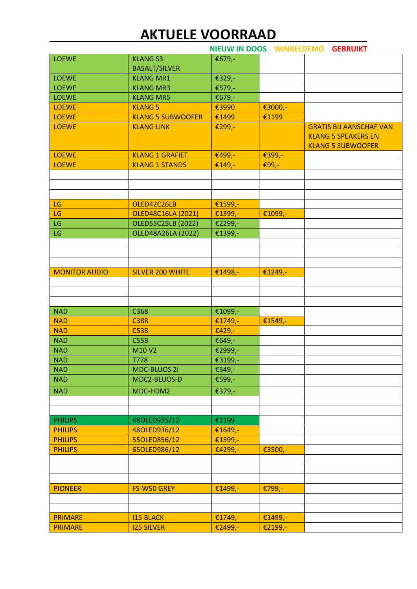|                                  |                                       | NIEUW IN DOOS WINKELDEMO GEBRUIKT |                    |                                                              |
|----------------------------------|---------------------------------------|-----------------------------------|--------------------|--------------------------------------------------------------|
| <b>LOEWE</b>                     | <b>KLANG S3</b>                       | €679,-                            |                    |                                                              |
|                                  | <b>BASALT/SILVER</b>                  |                                   |                    |                                                              |
| <b>LOEWE</b>                     | <b>KLANG MR1</b>                      | €329,-                            |                    |                                                              |
| <b>LOEWE</b>                     | <b>KLANG MR3</b>                      | €579,-                            |                    |                                                              |
| <b>LOEWE</b>                     | <b>KLANG MR5</b>                      | €679,-                            |                    |                                                              |
| <b>LOEWE</b>                     | <b>KLANG 5</b>                        | €3990                             | €3000,-            |                                                              |
| <b>LOEWE</b>                     | <b>KLANG 5 SUBWOOFER</b>              | €1499                             | €1199              |                                                              |
| <b>LOEWE</b>                     | <b>KLANG LINK</b>                     | €299,-                            |                    | <b>GRATIS BIJ AANSCHAF VAN</b><br><b>KLANG 5 SPEAKERS EN</b> |
|                                  |                                       |                                   |                    | <b>KLANG 5 SUBWOOFER</b>                                     |
| <b>LOEWE</b>                     | <b>KLANG 1 GRAFIET</b>                | €499,-                            | €399,-             |                                                              |
| <b>LOEWE</b>                     | <b>KLANG 1 STANDS</b>                 | €149,-                            | €99,-              |                                                              |
|                                  |                                       |                                   |                    |                                                              |
|                                  |                                       |                                   |                    |                                                              |
|                                  |                                       |                                   |                    |                                                              |
| LG                               | OLED42C26LB                           | €1599,-                           |                    |                                                              |
| LG                               | <b>OLED48C16LA (2021)</b>             | €1399,-                           | €1099,-            |                                                              |
| LG                               | <b>OLED55C25LB (2022)</b>             | €2299,-                           |                    |                                                              |
| LG                               | OLED48A26LA (2022)                    | €1399,-                           |                    |                                                              |
|                                  |                                       |                                   |                    |                                                              |
|                                  |                                       |                                   |                    |                                                              |
|                                  |                                       |                                   |                    |                                                              |
| <b>MONITOR AUDIO</b>             | <b>SILVER 200 WHITE</b>               | €1498,-                           | €1249,-            |                                                              |
|                                  |                                       |                                   |                    |                                                              |
|                                  |                                       |                                   |                    |                                                              |
|                                  |                                       |                                   |                    |                                                              |
| <b>NAD</b>                       | C368                                  | €1099,-                           |                    |                                                              |
| <b>NAD</b>                       | C388                                  | €1749,-                           | €1549,-            |                                                              |
| <b>NAD</b>                       | C538                                  | €429,-                            |                    |                                                              |
| <b>NAD</b>                       | C558                                  | €649,-                            |                    |                                                              |
| <b>NAD</b>                       | M10 V2                                | €2999,-                           |                    |                                                              |
| <b>NAD</b>                       | <b>T778</b>                           | €3199,-                           |                    |                                                              |
| <b>NAD</b>                       | MDC-BLUOS 2i                          | €549,-                            |                    |                                                              |
| <b>NAD</b>                       | MDC2-BLUOS-D                          | €599,-                            |                    |                                                              |
| <b>NAD</b>                       |                                       |                                   |                    |                                                              |
|                                  | MDC-HDM2                              | €379,-                            |                    |                                                              |
|                                  |                                       |                                   |                    |                                                              |
|                                  |                                       |                                   |                    |                                                              |
| <b>PHILIPS</b>                   | 48OLED935/12                          | €1199                             |                    |                                                              |
| <b>PHILIPS</b>                   | 480LED936/12                          | €1649,-                           |                    |                                                              |
| <b>PHILIPS</b>                   | 55OLED856/12                          | €1599,-                           |                    |                                                              |
| <b>PHILIPS</b>                   | 65OLED986/12                          | €4299,-                           | €3500,-            |                                                              |
|                                  |                                       |                                   |                    |                                                              |
|                                  |                                       |                                   |                    |                                                              |
|                                  |                                       |                                   |                    |                                                              |
| <b>PIONEER</b>                   | FS-W50 GREY                           | €1499,-                           | €799,-             |                                                              |
|                                  |                                       |                                   |                    |                                                              |
|                                  |                                       |                                   |                    |                                                              |
| <b>PRIMARE</b><br><b>PRIMARE</b> | <b>I15 BLACK</b><br><b>I25 SILVER</b> | €1749,-<br>€2499,-                | €1499,-<br>€2199,- |                                                              |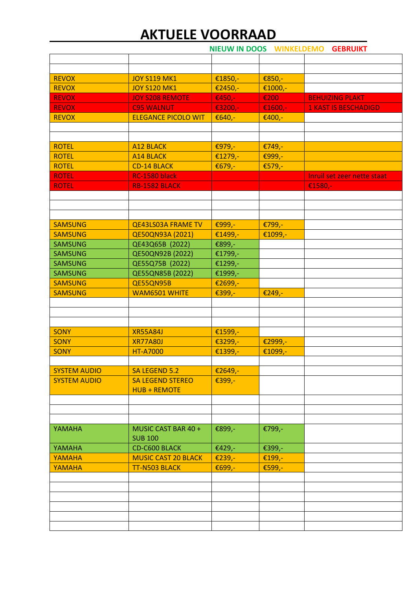**NIEUW IN DOOS WINKELDEMO GEBRUIKT**

| <b>REVOX</b>        | <b>JOY S119 MK1</b>        | €1850,- | €850,-  |                             |
|---------------------|----------------------------|---------|---------|-----------------------------|
| <b>REVOX</b>        | <b>JOY S120 MK1</b>        | €2450,- | €1000,- |                             |
| <b>REVOX</b>        | <b>JOY S208 REMOTE</b>     | €450,-  | €200    | <b>BEHUIZING PLAKT</b>      |
| <b>REVOX</b>        | <b>C95 WALNUT</b>          | €3200,- | €1600,- | <b>1 KAST IS BESCHADIGD</b> |
| <b>REVOX</b>        | <b>ELEGANCE PICOLO WIT</b> | €640,-  | €400,-  |                             |
|                     |                            |         |         |                             |
|                     |                            |         |         |                             |
| <b>ROTEL</b>        | <b>A12 BLACK</b>           | €979,-  | €749,-  |                             |
| <b>ROTEL</b>        | <b>A14 BLACK</b>           | €1279,- | €999,-  |                             |
| <b>ROTEL</b>        | <b>CD-14 BLACK</b>         | €679,-  | €579,-  |                             |
| <b>ROTEL</b>        | RC-1580 black              |         |         | Inruil set zeer nette staat |
| <b>ROTEL</b>        | RB-1582 BLACK              |         |         | €1580,-                     |
|                     |                            |         |         |                             |
|                     |                            |         |         |                             |
|                     |                            |         |         |                             |
| <b>SAMSUNG</b>      | <b>QE43LS03A FRAME TV</b>  | €999,-  | €799,-  |                             |
| <b>SAMSUNG</b>      | QE50QN93A (2021)           | €1499,- | €1099,- |                             |
| <b>SAMSUNG</b>      | QE43Q65B (2022)            | €899,-  |         |                             |
| <b>SAMSUNG</b>      | QE50QN92B (2022)           | €1799,- |         |                             |
| <b>SAMSUNG</b>      | QE55Q75B (2022)            | €1299,- |         |                             |
| <b>SAMSUNG</b>      | QE55QN85B (2022)           | €1999,- |         |                             |
| <b>SAMSUNG</b>      | QE55QN95B                  | €2699,- |         |                             |
| <b>SAMSUNG</b>      | <b>WAM6501 WHITE</b>       | €399,-  | €249,-  |                             |
|                     |                            |         |         |                             |
|                     |                            |         |         |                             |
|                     |                            |         |         |                             |
| <b>SONY</b>         | <b>XR55A84J</b>            | €1599,- |         |                             |
| <b>SONY</b>         | <b>XR77A80J</b>            | €3299,- | €2999,- |                             |
| <b>SONY</b>         | <b>HT-A7000</b>            | €1399,- | €1099,- |                             |
|                     |                            |         |         |                             |
| <b>SYSTEM AUDIO</b> | SA LEGEND 5.2              | €2649,- |         |                             |
| <b>SYSTEM AUDIO</b> | <b>SA LEGEND STEREO</b>    | €399,-  |         |                             |
|                     | <b>HUB + REMOTE</b>        |         |         |                             |
|                     |                            |         |         |                             |
|                     |                            |         |         |                             |
|                     |                            |         |         |                             |
| YAMAHA              | MUSIC CAST BAR 40 +        | €899,-  | €799,-  |                             |
|                     | <b>SUB 100</b>             |         |         |                             |
| YAMAHA              | <b>CD-C600 BLACK</b>       | €429,-  | €399,-  |                             |
| <b>YAMAHA</b>       | <b>MUSIC CAST 20 BLACK</b> | €239,-  | €199,-  |                             |
| YAMAHA              | TT-N503 BLACK              | €699,-  | €599,-  |                             |
|                     |                            |         |         |                             |
|                     |                            |         |         |                             |
|                     |                            |         |         |                             |
|                     |                            |         |         |                             |
|                     |                            |         |         |                             |
|                     |                            |         |         |                             |